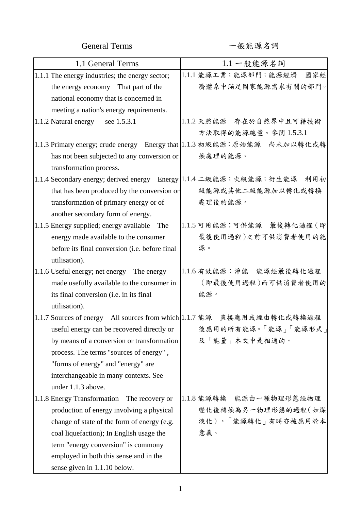General Terms <br />  $\begin{array}{ccc} -& +\end{array}$ 

| 1.1 General Terms                                                      | 1.1 一般能源名詞                                                                |
|------------------------------------------------------------------------|---------------------------------------------------------------------------|
| 1.1.1 The energy industries; the energy sector;                        | 1.1.1 能源工業;能源部門;能源經濟<br>國家經                                               |
| the energy economy That part of the                                    | 濟體系中滿足國家能源需求有關的部門。                                                        |
| national economy that is concerned in                                  |                                                                           |
| meeting a nation's energy requirements.                                |                                                                           |
| see 1.5.3.1<br>1.1.2 Natural energy                                    | 1.1.2 天然能源 存在於自然界中且可藉技術                                                   |
|                                                                        | 方法取得的能源總量。參閱1.5.3.1                                                       |
|                                                                        | 1.1.3 Primary energy; crude energy Energy that 1.1.3 初級能源;原始能源 尚未加以轉化或轉   |
| has not been subjected to any conversion or                            | 换處理的能源。                                                                   |
| transformation process.                                                |                                                                           |
|                                                                        | 1.1.4 Secondary energy; derived energy Energy  1.1.4 二級能源; 次級能源; 衍生能源 利用初 |
| that has been produced by the conversion or                            | 級能源或其他二級能源加以轉化或轉換                                                         |
| transformation of primary energy or of                                 | 處理後的能源。                                                                   |
| another secondary form of energy.                                      |                                                                           |
| 1.1.5 Energy supplied; energy available The                            | 1.1.5 可用能源;可供能源 最後轉化過程 (即                                                 |
| energy made available to the consumer                                  | 最後使用過程)之前可供消費者使用的能                                                        |
| before its final conversion (i.e. before final                         | 源。                                                                        |
| utilisation).                                                          |                                                                           |
| 1.1.6 Useful energy; net energy The energy                             | 1.1.6 有效能源; 淨能 能源經最後轉化過程                                                  |
| made usefully available to the consumer in                             | (即最後使用過程)而可供消費者使用的                                                        |
| its final conversion (i.e. in its final                                | 能源。                                                                       |
| utilisation).                                                          |                                                                           |
| 1.1.7 Sources of energy All sources from which 1.1.7 能源 直接應用或經由轉化或轉換過程 |                                                                           |
|                                                                        | useful energy can be recovered directly or   後應用的所有能源。「能源」「能源形式」          |
| by means of a conversion or transformation                             | 及「能量」本文中是相通的。                                                             |
| process. The terms "sources of energy",                                |                                                                           |
| "forms of energy" and "energy" are                                     |                                                                           |
| interchangeable in many contexts. See                                  |                                                                           |
| under 1.1.3 above.                                                     |                                                                           |
| 1.1.8 Energy Transformation The recovery or                            | 1.1.8 能源轉換 能源由一種物理形態經物理                                                   |
| production of energy involving a physical                              | 變化後轉換為另一物理形態的過程(如煤                                                        |
| change of state of the form of energy (e.g.                            | 液化)。「能源轉化」有時亦被應用於本                                                        |
| coal liquefaction); In English usage the                               | 意義。                                                                       |
| term "energy conversion" is commony                                    |                                                                           |
| employed in both this sense and in the                                 |                                                                           |
| sense given in 1.1.10 below.                                           |                                                                           |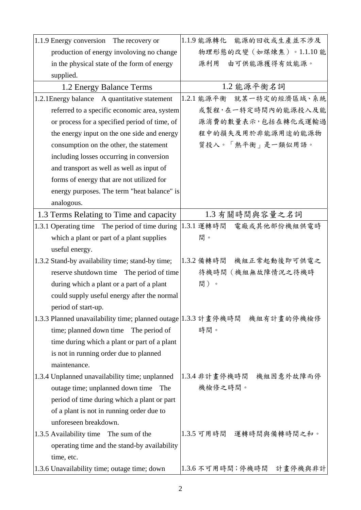|              | 1.1.9 Energy conversion The recovery or                                   |            |                  | 1.1.9 能源轉化 能源的回收或生產並不涉及  |
|--------------|---------------------------------------------------------------------------|------------|------------------|--------------------------|
|              | production of energy involoving no change                                 |            |                  | 物理形態的改變(如煤煉焦)。1.1.10能    |
|              | in the physical state of the form of energy                               | 源利用        | 由可供能源獲得有效能源。     |                          |
| supplied.    |                                                                           |            |                  |                          |
|              | 1.2 Energy Balance Terms                                                  |            | 1.2 能源平衡名詞       |                          |
|              | 1.2.1 Energy balance A quantitative statement                             |            |                  | 1.2.1 能源平衡 就某一特定的經濟區域、系統 |
|              | referred to a specific economic area, system                              |            |                  | 或製程,在一特定時間內的能源投入及能       |
|              | or process for a specified period of time, of                             |            |                  | 源消費的數量表示,包括在轉化或運輸過       |
|              | the energy input on the one side and energy                               |            |                  | 程中的損失及用於非能源用途的能源物        |
|              | consumption on the other, the statement                                   |            | 質投入。「熱平衡」是一類似用語。 |                          |
|              | including losses occurring in conversion                                  |            |                  |                          |
|              | and transport as well as well as input of                                 |            |                  |                          |
|              | forms of energy that are not utilized for                                 |            |                  |                          |
|              | energy purposes. The term "heat balance" is                               |            |                  |                          |
| analogous.   |                                                                           |            |                  |                          |
|              | 1.3 Terms Relating to Time and capacity                                   |            | 1.3 有關時間與容量之名詞   |                          |
|              | 1.3.1 Operating time The period of time during                            | 1.3.1 運轉時間 |                  | 電廠或其他部份機組供電時             |
|              | which a plant or part of a plant supplies                                 | 間。         |                  |                          |
|              | useful energy.                                                            |            |                  |                          |
|              | 1.3.2 Stand-by availability time; stand-by time;                          | 1.3.2 備轉時間 |                  | 機組正常起動後即可供電之             |
|              | reserve shutdown time The period of time                                  |            | 待機時間(機組無故障情況之待機時 |                          |
|              | during which a plant or a part of a plant                                 | 間)。        |                  |                          |
|              | could supply useful energy after the normal                               |            |                  |                          |
|              | period of start-up.                                                       |            |                  |                          |
|              | 1.3.3 Planned unavailability time; planned outage 1.3.3 計畫停機時間 機組有計畫的停機檢修 |            |                  |                          |
|              | time; planned down time<br>The period of                                  | 時間。        |                  |                          |
|              | time during which a plant or part of a plant                              |            |                  |                          |
|              | is not in running order due to planned                                    |            |                  |                          |
| maintenance. |                                                                           |            |                  |                          |
|              | 1.3.4 Unplanned unavailability time; unplanned                            |            |                  | 1.3.4 非計畫停機時間 機組因意外故障而停  |
|              | outage time; unplanned down time<br>The                                   | 機檢修之時間。    |                  |                          |
|              | period of time during which a plant or part                               |            |                  |                          |
|              | of a plant is not in running order due to                                 |            |                  |                          |
|              | unforeseen breakdown.                                                     |            |                  |                          |
|              | 1.3.5 Availability time The sum of the                                    |            |                  | 1.3.5 可用時間 運轉時間與備轉時間之和。  |
|              | operating time and the stand-by availability                              |            |                  |                          |
| time, etc.   |                                                                           |            |                  |                          |
|              | 1.3.6 Unavailability time; outage time; down                              |            |                  | 1.3.6 不可用時間;停機時間 計畫停機與非計 |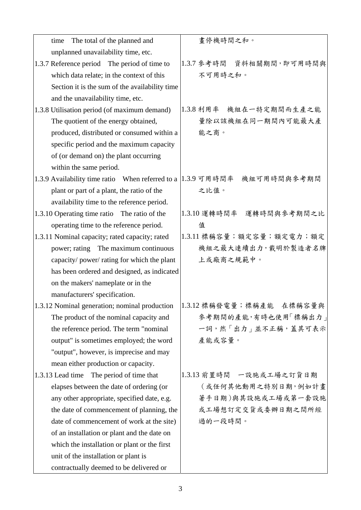| The total of the planned and<br>time                                      | 畫停機時間之和。                                                                |
|---------------------------------------------------------------------------|-------------------------------------------------------------------------|
| unplanned unavailability time, etc.                                       |                                                                         |
| 1.3.7 Reference period The period of time to                              | 1.3.7 參考時間 資料相關期間, 即可用時間與                                               |
| which data relate; in the context of this                                 | 不可用時之和。                                                                 |
| Section it is the sum of the availability time                            |                                                                         |
| and the unavailability time, etc.                                         |                                                                         |
| 1.3.8 Utilisation period (of maximum demand)                              | 1.3.8 利用率 機組在一特定期間而生產之能                                                 |
| The quotient of the energy obtained,                                      | 量除以該機組在同一期間內可能最大產                                                       |
| produced, distributed or consumed within a                                | 能之商。                                                                    |
| specific period and the maximum capacity                                  |                                                                         |
| of (or demand on) the plant occurring                                     |                                                                         |
| within the same period.                                                   |                                                                         |
| 1.3.9 Availability time ratio When referred to a  1.3.9 可用時間率 機組可用時間與參考期間 |                                                                         |
| plant or part of a plant, the ratio of the                                | 之比值。                                                                    |
| availability time to the reference period.                                |                                                                         |
| 1.3.10 Operating time ratio The ratio of the                              | 1.3.10 運轉時間率 運轉時間與參考期間之比                                                |
| operating time to the reference period.                                   | 值                                                                       |
| 1.3.11 Nominal capacity; rated capacity; rated                            | 1.3.11 標稱容量;額定容量;額定電力;額定                                                |
| power; rating The maximum continuous                                      | 機組之最大連續出力,載明於製造者名牌                                                      |
| capacity/ power/ rating for which the plant                               | 上或廠商之規範中。                                                               |
| has been ordered and designed, as indicated                               |                                                                         |
| on the makers' nameplate or in the                                        |                                                                         |
| manufacturers' specification.                                             |                                                                         |
|                                                                           | 1.3.12 Nominal generation; nominal production  1.3.12 標稱發電量;標稱產能 在標稱容量與 |
| The product of the nominal capacity and                                   | 參考期間的產能,有時也使用「標稱出力」                                                     |
| the reference period. The term "nominal                                   | 一詞,然「出力」並不正稱,蓋其可表示                                                      |
| output" is sometimes employed; the word                                   | 產能或容量。                                                                  |
| "output", however, is imprecise and may                                   |                                                                         |
| mean either production or capacity.                                       |                                                                         |
| 1.3.13 Lead time The period of time that                                  | 1.3.13 前置時間 一設施或工場之訂貨日期                                                 |
| elapses between the date of ordering (or                                  | (或任何其他動用之特別日期,例如計畫                                                      |
| any other appropriate, specified date, e.g.                               | 著手日期)與其設施或工場或第一套設施                                                      |
| the date of commencement of planning, the                                 | 或工場想訂定交貨或委辦日期之間所經                                                       |
| date of commencement of work at the site)                                 | 過的一段時間。                                                                 |
| of an installation or plant and the date on                               |                                                                         |
| which the installation or plant or the first                              |                                                                         |
| unit of the installation or plant is                                      |                                                                         |
| contractually deemed to be delivered or                                   |                                                                         |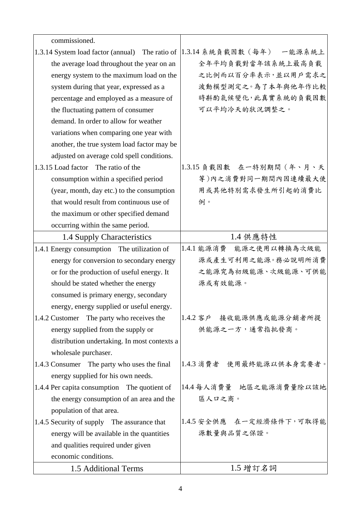| commissioned.                                   |                           |
|-------------------------------------------------|---------------------------|
| 1.3.14 System load factor (annual) The ratio of | 1.3.14 系統負載因數(每年) 一能源系統上  |
| the average load throughout the year on an      | 全年平均負載對當年該系統上最高負載         |
| energy system to the maximum load on the        | 之比例而以百分率表示,並以用戶需求之        |
| system during that year, expressed as a         | 波動模型測定之。為了本年與他年作比較        |
| percentage and employed as a measure of         | 時斟酌氣候變化,此真實系統的負載因數        |
| the fluctuating pattern of consumer             | 可以平均冷天的狀況調整之。             |
| demand. In order to allow for weather           |                           |
| variations when comparing one year with         |                           |
| another, the true system load factor may be     |                           |
| adjusted on average cold spell conditions.      |                           |
| 1.3.15 Load factor The ratio of the             | 1.3.15 負載因數 在一特別期間 (年、月、天 |
| consumption within a specified period           | 等)內之消費對同一期間內因連續最大使        |
| (year, month, day etc.) to the consumption      | 用或其他特別需求發生所引起的消費比         |
| that would result from continuous use of        | 例。                        |
| the maximum or other specified demand           |                           |
| occurring within the same period.               |                           |
| 1.4 Supply Characteristics                      | 1.4 供應特性                  |
| 1.4.1 Energy consumption The utilization of     | 1.4.1 能源消費 能源之使用以轉換為次級能   |
| energy for conversion to secondary energy       | 源或產生可利用之能源。務必說明所消費        |
| or for the production of useful energy. It      | 之能源究為初級能源、次級能源、可供能        |
| should be stated whether the energy             | 源或有效能源。                   |
| consumed is primary energy, secondary           |                           |
| energy, energy supplied or useful energy.       |                           |
| 1.4.2 Customer The party who receives the       | 1.4.2 客户 接收能源供應或能源分銷者所提   |
| energy supplied from the supply or              | 供能源之一方,通常指批發商。            |
| distribution undertaking. In most contexts a    |                           |
| wholesale purchaser.                            |                           |
| 1.4.3 Consumer The party who uses the final     | 1.4.3 消費者 使用最终能源以供本身需要者。  |
| energy supplied for his own needs.              |                           |
| 1.4.4 Per capita consumption The quotient of    | 14.4每人消費量 地區之能源消費量除以該地    |
| the energy consumption of an area and the       | 區人口之商。                    |
| population of that area.                        |                           |
| 1.4.5 Security of supply The assurance that     | 1.4.5 安全供應 在一定經濟條件下,可取得能  |
| energy will be available in the quantities      | 源數量與品質之保證。                |
| and qualities required under given              |                           |
| economic conditions.                            |                           |
| 1.5 Additional Terms                            | 1.5 增訂名詞                  |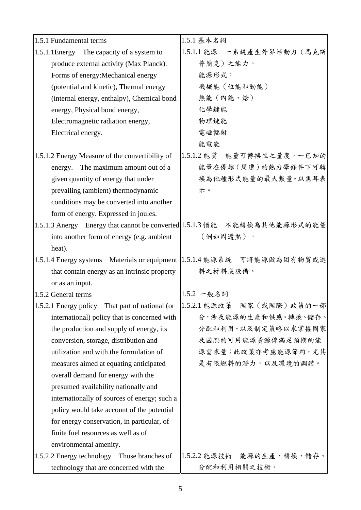| 1.5.1 Fundamental terms                         | 1.5.1 基本名詞                                                                  |
|-------------------------------------------------|-----------------------------------------------------------------------------|
| 1.5.1.1 Energy The capacity of a system to      | 1.5.1.1 能源 一系統產生外界活動力 (馬克斯                                                  |
| produce external activity (Max Planck).         | 普蘭克)之能力。                                                                    |
| Forms of energy: Mechanical energy              | 能源形式:                                                                       |
| (potential and kinetic), Thermal energy         | 機械能 (位能和動能)                                                                 |
| (internal energy, enthalpy), Chemical bond      | 熱能(內能、焓)                                                                    |
| energy, Physical bond energy,                   | 化學鍵能                                                                        |
| Electromagnetic radiation energy,               | 物理鍵能                                                                        |
| Electrical energy.                              | 電磁輻射                                                                        |
|                                                 | 能電能                                                                         |
| 1.5.1.2 Energy Measure of the convertibility of | 1.5.1.2 能質 能量可轉換性之量度。一已知的                                                   |
| The maximum amount out of a<br>energy.          | 能量在優越(周遭)的熱力學條件下可轉                                                          |
| given quantity of energy that under             | 换為他種形式能量的最大數量。以焦耳表                                                          |
| prevailing (ambient) thermodynamic              | 示。                                                                          |
| conditions may be converted into another        |                                                                             |
| form of energy. Expressed in joules.            |                                                                             |
|                                                 | 1.5.1.3 Anergy Energy that cannot be converted 1.5.1.3 惰能 不能轉換為其他能源形式的能量    |
| into another form of energy (e.g. ambient       | (例如周遭熱)。                                                                    |
| heat).                                          |                                                                             |
|                                                 | 1.5.1.4 Energy systems Materials or equipment   1.5.1.4 能源系統 可將能源做為固有物質或進   |
| that contain energy as an intrinsic property    | 料之材料或設備。                                                                    |
| or as an input.                                 |                                                                             |
| $1.5.2$ General terms                           | 1.5.2 一般名詞                                                                  |
|                                                 | 1.5.2.1 Energy policy That part of national (or  1.5.2.1 能源政策 國家 (或國際)政策的一部 |
| international) policy that is concerned with    | 分,涉及能源的生產和供應、轉換、儲存、                                                         |
| the production and supply of energy, its        | 分配和利用、以及制定策略以求掌握國家                                                          |
| conversion, storage, distribution and           | 及國際的可用能源資源俾滿足預期的能                                                           |
| utilization and with the formulation of         | 源需求量;此政策亦考慮能源節約,尤其                                                          |
| measures aimed at equating anticipated          | 是有限燃料的潛力,以及環境的調諧。                                                           |
| overall demand for energy with the              |                                                                             |
| presumed availability nationally and            |                                                                             |
| internationally of sources of energy; such a    |                                                                             |
| policy would take account of the potential      |                                                                             |
| for energy conservation, in particular, of      |                                                                             |
| finite fuel resources as well as of             |                                                                             |
| environmental amenity.                          |                                                                             |
| 1.5.2.2 Energy technology Those branches of     | 1.5.2.2 能源技術 能源的生產、轉換、儲存、                                                   |
| technology that are concerned with the          | 分配和利用相關之技術。                                                                 |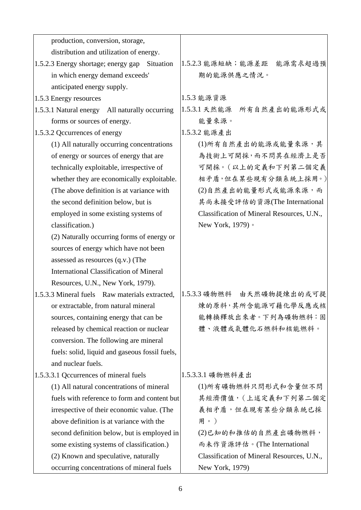| production, conversion, storage,                 |                                            |
|--------------------------------------------------|--------------------------------------------|
| distribution and utilization of energy.          |                                            |
| 1.5.2.3 Energy shortage; energy gap<br>Situation | 能源需求超過預<br>1.5.2.3 能源短缺;能源差距               |
| in which energy demand exceeds'                  | 期的能源供應之情況。                                 |
| anticipated energy supply.                       |                                            |
| 1.5.3 Energy resources                           | 1.5.3 能源資源                                 |
| 1.5.3.1 Natural energy All naturally occurring   | 1.5.3.1 天然能源 所有自然產出的能源形式或                  |
| forms or sources of energy.                      | 能量來源。                                      |
| 1.5.3.2 Qccurrences of energy                    | 1.5.3.2 能源產出                               |
| (1) All naturally occurring concentrations       | (1)所有自然產出的能源或能量來源,其                        |
| of energy or sources of energy that are          | 為技術上可開採,而不問其在經濟上是否                         |
| technically exploitable, irrespective of         | 可開採。(以上的定義和下列第二個定義                         |
| whether they are economically exploitable.       | 相矛盾,但在某些現有分類系統上採用。)                        |
| (The above definition is at variance with        | (2)自然產出的能量形式或能源來源,而                        |
| the second definition below, but is              | 其尚未接受評估的資源(The International               |
| employed in some existing systems of             | Classification of Mineral Resources, U.N., |
| classification.)                                 | New York, 1979) 。                          |
| (2) Naturally occurring forms of energy or       |                                            |
| sources of energy which have not been            |                                            |
| assessed as resources (q.v.) (The                |                                            |
| <b>International Classification of Mineral</b>   |                                            |
| Resources, U.N., New York, 1979).                |                                            |
| 1.5.3.3 Mineral fuels Raw materials extracted,   | 1.5.3.3 礦物燃料 由天然礦物提煉出的或可提                  |
| or extractable, from natural mineral             | 煉的原料,其所含能源可藉化學反應或核                         |
| sources, containing energy that can be           | 能轉換釋放出來者。下列為礦物燃料:固                         |
| released by chemical reaction or nuclear         | 體、液體或氣體化石燃料和核能燃料。                          |
| conversion. The following are mineral            |                                            |
| fuels: solid, liquid and gaseous fossil fuels,   |                                            |
| and nuclear fuels.                               |                                            |
| 1.5.3.3.1 Qccurrences of mineral fuels           | 1.5.3.3.1 礦物燃料產出                           |
| (1) All natural concentrations of mineral        | (1)所有礦物燃料只問形式和含量但不問                        |
| fuels with reference to form and content but     | 其經濟價值, (上述定義和下列第二個定                        |
| irrespective of their economic value. (The       | 義相矛盾,但在現有某些分類系統已採                          |
| above definition is at variance with the         | 用。)                                        |
| second definition below, but is employed in      | (2)已知的和推估的自然產出礦物燃料,                        |
| some existing systems of classification.)        | 而未作資源評估。(The International                 |
| (2) Known and speculative, naturally             | Classification of Mineral Resources, U.N., |
| occurring concentrations of mineral fuels        | New York, 1979)                            |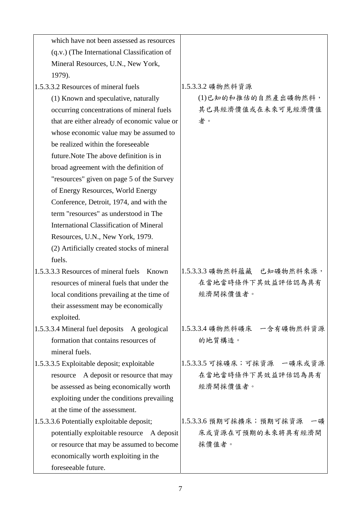| which have not been assessed as resources       |                               |
|-------------------------------------------------|-------------------------------|
| (q.v.) (The International Classification of     |                               |
| Mineral Resources, U.N., New York,              |                               |
| 1979).                                          |                               |
| 1.5.3.3.2 Resources of mineral fuels            | 1.5.3.3.2 礦物然料資源              |
| (1) Known and speculative, naturally            | (1)已知的和推估的自然產出礦物然料,           |
| occurring concentrations of mineral fuels       | 其已具經濟價值或在未來可見經濟價值             |
| that are either already of economic value or    | 者。                            |
| whose economic value may be assumed to          |                               |
| be realized within the foreseeable              |                               |
| future. Note The above definition is in         |                               |
| broad agreement with the definition of          |                               |
| "resources" given on page 5 of the Survey       |                               |
| of Energy Resources, World Energy               |                               |
| Conference, Detroit, 1974, and with the         |                               |
| term "resources" as understood in The           |                               |
| <b>International Classification of Mineral</b>  |                               |
| Resources, U.N., New York, 1979.                |                               |
| (2) Artificially created stocks of mineral      |                               |
| fuels.                                          |                               |
| 1.5.3.3.3 Resources of mineral fuels<br>Known   | 1.5.3.3.3 礦物然料蘊藏 已知礦物然料來源,    |
| resources of mineral fuels that under the       | 在當地當時條件下其效益評估認為具有             |
| local conditions prevailing at the time of      | 經濟開採價值者。                      |
| their assessment may be economically            |                               |
| exploited.                                      |                               |
| 1.5.3.3.4 Mineral fuel deposits<br>A geological | 1.5.3.3.4 礦物然料礦床 一含有礦物然料資源    |
| formation that contains resources of            | 的地質構造。                        |
| mineral fuels.                                  |                               |
| 1.5.3.3.5 Exploitable deposit; exploitable      | 1.5.3.3.5 可採礦床;可採資源 一礦床或資源    |
| A deposit or resource that may<br>resource      | 在當地當時條件下其效益評估認為具有             |
| be assessed as being economically worth         | 經濟開採價值者。                      |
| exploiting under the conditions prevailing      |                               |
| at the time of the assessment.                  |                               |
| 1.5.3.3.6 Potentially exploitable deposit;      | 1.5.3.3.6 預期可採擴床;預期可採資源<br>一礦 |
| potentially exploitable resource A deposit      | 床或資源在可預期的未來將具有經濟開             |
| or resource that may be assumed to become       | 採價值者。                         |
| economically worth exploiting in the            |                               |
| foreseeable future.                             |                               |